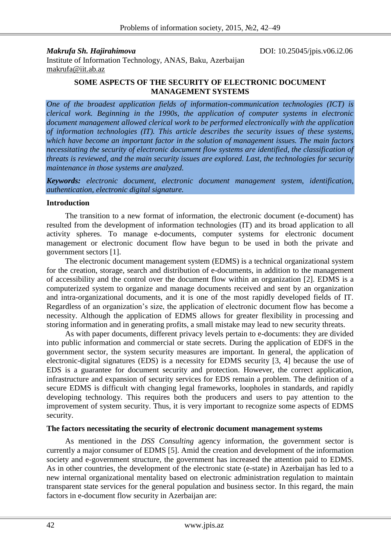*Makrufa Sh. Hajirahimova* DOI: 10.25045/jpis.v06.i2.06

Institute of Information Technology, ANAS, Baku, Azerbaijan [makrufa@iit.ab.az](mailto:makrufa@iit.ab.az)

#### **SOME ASPECTS OF THE SECURITY OF ELECTRONIC DOCUMENT MANAGEMENT SYSTEMS**

*One of the broadest application fields of information-communication technologies (ICT) is clerical work. Beginning in the 1990s, the application of computer systems in electronic document management allowed clerical work to be performed electronically with the application of information technologies (IT). This article describes the security issues of these systems, which have become an important factor in the solution of management issues. The main factors necessitating the security of electronic document flow systems are identified, the classification of threats is reviewed, and the main security issues are explored. Last, the technologies for security maintenance in those systems are analyzed.* 

*Keywords: electronic document, electronic document management system, identification, authentication, electronic digital signature.* 

# **Introduction**

The transition to a new format of information, the electronic document (e-document) has resulted from the development of information technologies (IT) and its broad application to all activity spheres. To manage e-documents, computer systems for electronic document management or electronic document flow have begun to be used in both the private and government sectors [1].

The electronic document management system (EDMS) is a technical organizational system for the creation, storage, search and distribution of e-documents, in addition to the management of accessibility and the control over the document flow within an organization [2]. EDMS is a computerized system to organize and manage documents received and sent by an organization and intra-organizational documents, and it is one of the most rapidly developed fields of IT. Regardless of an organization's size, the application of electronic document flow has become a necessity. Although the application of EDMS allows for greater flexibility in processing and storing information and in generating profits, a small mistake may lead to new security threats.

As with paper documents, different privacy levels pertain to e-documents: they are divided into public information and commercial or state secrets. During the application of EDFS in the government sector, the system security measures are important. In general, the application of electronic-digital signatures (EDS) is a necessity for EDMS security [3, 4] because the use of EDS is a guarantee for document security and protection. However, the correct application, infrastructure and expansion of security services for EDS remain a problem. The definition of a secure EDMS is difficult with changing legal frameworks, loopholes in standards, and rapidly developing technology. This requires both the producers and users to pay attention to the improvement of system security. Thus, it is very important to recognize some aspects of EDMS security.

# **The factors necessitating the security of electronic document management systems**

As mentioned in the *DSS Consulting* agency information, the government sector is currently a major consumer of EDMS [5]. Amid the creation and development of the information society and e-government structure, the government has increased the attention paid to EDMS. As in other countries, the development of the electronic state (e-state) in Azerbaijan has led to a new internal organizational mentality based on electronic administration regulation to maintain transparent state services for the general population and business sector. In this regard, the main factors in e-document flow security in Azerbaijan are: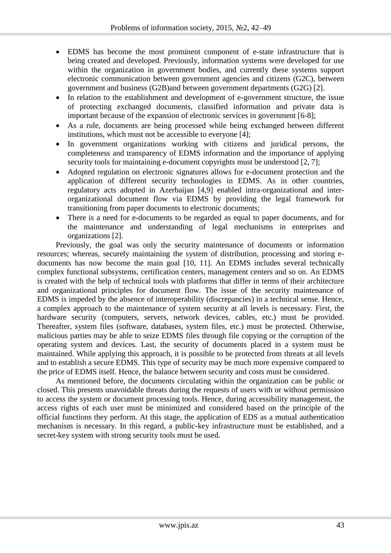- EDMS has become the most prominent component of e-state infrastructure that is being created and developed. Previously, information systems were developed for use within the organization in government bodies, and currently these systems support electronic communication between government agencies and citizens (G2C), between government and business (G2B)and between government departments (G2G) [2].
- In relation to the establishment and development of e-government structure, the issue of protecting exchanged documents, classified information and private data is important because of the expansion of electronic services in government [6-8];
- As a rule, documents are being processed while being exchanged between different institutions, which must not be accessible to everyone [4];
- In government organizations working with citizens and juridical persons, the completeness and transparency of EDMS information and the importance of applying security tools for maintaining e-document copyrights must be understood [2, 7];
- Adopted regulation on electronic signatures allows for e-document protection and the application of different security technologies in EDMS. As in other countries, regulatory acts adopted in Azerbaijan [4,9] enabled intra-organizational and interorganizational document flow via EDMS by providing the legal framework for transitioning from paper documents to electronic documents;
- There is a need for e-documents to be regarded as equal to paper documents, and for the maintenance and understanding of legal mechanisms in enterprises and organizations [2].

Previously, the goal was only the security maintenance of documents or information resources; whereas, securely maintaining the system of distribution, processing and storing edocuments has now become the main goal [10, 11]. An EDMS includes several technically complex functional subsystems, certification centers, management centers and so on. An EDMS is created with the help of technical tools with platforms that differ in terms of their architecture and organizational principles for document flow. The issue of the security maintenance of EDMS is impeded by the absence of interoperability (discrepancies) in a technical sense. Hence, a complex approach to the maintenance of system security at all levels is necessary. First, the hardware security (computers, servers, network devices, cables, etc.) must be provided. Thereafter, system files (software, databases, system files, etc.) must be protected. Otherwise, malicious parties may be able to seize EDMS files through file copying or the corruption of the operating system and devices. Last, the security of documents placed in a system must be maintained. While applying this approach, it is possible to be protected from threats at all levels and to establish a secure EDMS. This type of security may be much more expensive compared to the price of EDMS itself. Hence, the balance between security and costs must be considered.

As mentioned before, the documents circulating within the organization can be public or closed. This presents unavoidable threats during the requests of users with or without permission to access the system or document processing tools. Hence, during accessibility management, the access rights of each user must be minimized and considered based on the principle of the official functions they perform. At this stage, the application of EDS as a mutual authentication mechanism is necessary. In this regard, a public-key infrastructure must be established, and a secret-key system with strong security tools must be used.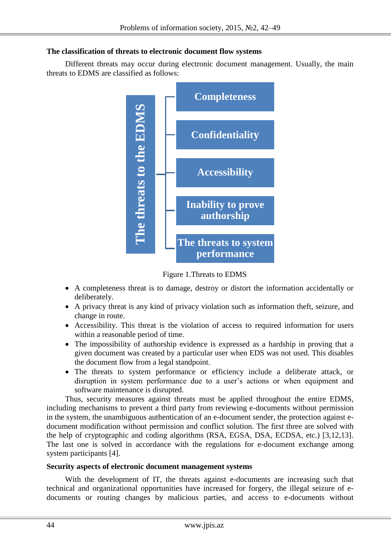# **The classification of threats to electronic document flow systems**

Different threats may occur during electronic document management. Usually, the main threats to EDMS are classified as follows:



Figure 1.Threats to EDMS

- A completeness threat is to damage, destroy or distort the information accidentally or deliberately.
- A privacy threat is any kind of privacy violation such as information theft, seizure, and change in route.
- Accessibility. This threat is the violation of access to required information for users within a reasonable period of time.
- The impossibility of authorship evidence is expressed as a hardship in proving that a given document was created by a particular user when EDS was not used. This disables the document flow from a legal standpoint.
- The threats to system performance or efficiency include a deliberate attack, or disruption in system performance due to a user's actions or when equipment and software maintenance is disrupted.

Thus, security measures against threats must be applied throughout the entire EDMS, including mechanisms to prevent a third party from reviewing e-documents without permission in the system, the unambiguous authentication of an e-document sender, the protection against edocument modification without permission and conflict solution. The first three are solved with the help of cryptographic and coding algorithms (RSA, EGSA, DSA, ECDSA, etc.) [3,12,13]. The last one is solved in accordance with the regulations for e-document exchange among system participants [4].

# **Security aspects of electronic document management systems**

With the development of IT, the threats against e-documents are increasing such that technical and organizational opportunities have increased for forgery, the illegal seizure of e-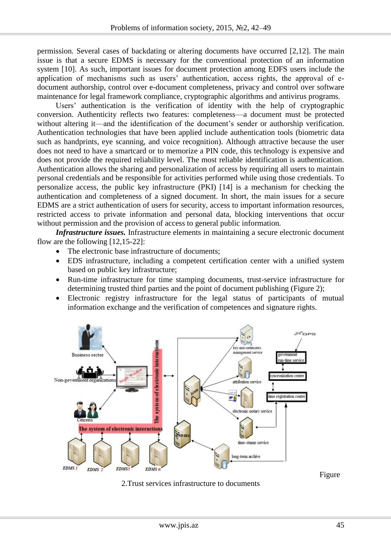permission. Several cases of backdating or altering documents have occurred [2,12]. The main issue is that a secure EDMS is necessary for the conventional protection of an information system [10]. As such, important issues for document protection among EDFS users include the application of mechanisms such as users' authentication, access rights, the approval of edocument authorship, control over e-document completeness, privacy and control over software maintenance for legal framework compliance, cryptographic algorithms and antivirus programs.

Users' authentication is the verification of identity with the help of cryptographic conversion. Authenticity reflects two features: completeness—a document must be protected without altering it—and the identification of the document's sender or authorship verification. Authentication technologies that have been applied include authentication tools (biometric data such as handprints, eye scanning, and voice recognition). Although attractive because the user does not need to have a smartcard or to memorize a PIN code, this technology is expensive and does not provide the required reliability level. The most reliable identification is authentication. Authentication allows the sharing and personalization of access by requiring all users to maintain personal credentials and be responsible for activities performed while using those credentials. To personalize access, the public key infrastructure (PKI) [14] is a mechanism for checking the authentication and completeness of a signed document. In short, the main issues for a secure EDMS are a strict authentication of users for security, access to important information resources, restricted access to private information and personal data, blocking interventions that occur without permission and the provision of access to general public information.

*Infrastructure issues.* Infrastructure elements in maintaining a secure electronic document flow are the following [12,15-22]:

- The electronic base infrastructure of documents;
- EDS infrastructure, including a competent certification center with a unified system based on public key infrastructure;
- Run-time infrastructure for time stamping documents, trust-service infrastructure for determining trusted third parties and the point of document publishing (Figure 2);
- Electronic registry infrastructure for the legal status of participants of mutual information exchange and the verification of competences and signature rights.



2.Trust services infrastructure to documents

Figure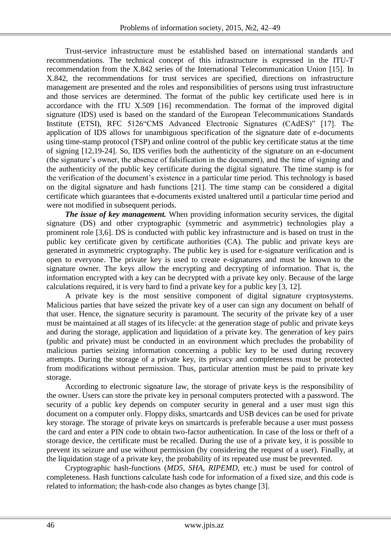Trust-service infrastructure must be established based on international standards and recommendations. The technical concept of this infrastructure is expressed in the ITU-T recommendation from the X.842 series of the International Telecommunication Union [15]. In X.842, the recommendations for trust services are specified, directions on infrastructure management are presented and the roles and responsibilities of persons using trust infrastructure and those services are determined. The format of the public key certificate used here is in accordance with the ITU Х.509 [16] recommendation. The format of the improved digital signature (IDS) used is based on the standard of the European Telecommunications Standards Institute (ETSI), RFC 5126"CMS Advanced Electronic Signatures (CAdES)" [17]. The application of IDS allows for unambiguous specification of the signature date of e-documents using time-stamp protocol (TSP) and online control of the public key certificate status at the time of signing [12,19-24]. So, IDS verifies both the authenticity of the signature on an e-document (the signature's owner, the absence of falsification in the document), and the time of signing and the authenticity of the public key certificate during the digital signature. The time stamp is for the verification of the document's existence in a particular time period. This technology is based on the digital signature and hash functions [21]. The time stamp can be considered a digital certificate which guarantees that e-documents existed unaltered until a particular time period and were not modified in subsequent periods.

*The issue of key management.* When providing information security services, the digital signature (DS) and other cryptographic (symmetric and asymmetric) technologies play a prominent role [3,6]. DS is conducted with public key infrastructure and is based on trust in the public key certificate given by certificate authorities (CA). The public and private keys are generated in asymmetric cryptography. The public key is used for e-signature verification and is open to everyone. The private key is used to create e-signatures and must be known to the signature owner. The keys allow the encrypting and decrypting of information. That is, the information encrypted with a key can be decrypted with a private key only. Because of the large calculations required, it is very hard to find a private key for a public key [3, 12].

A private key is the most sensitive component of digital signature cryptosystems. Malicious parties that have seized the private key of a user can sign any document on behalf of that user. Hence, the signature security is paramount. The security of the private key of a user must be maintained at all stages of its lifecycle: at the generation stage of public and private keys and during the storage, application and liquidation of a private key. The generation of key pairs (public and private) must be conducted in an environment which precludes the probability of malicious parties seizing information concerning a public key to be used during recovery attempts. During the storage of a private key, its privacy and completeness must be protected from modifications without permission. Thus, particular attention must be paid to private key storage.

According to electronic signature law, the storage of private keys is the responsibility of the owner. Users can store the private key in personal computers protected with a password. The security of a public key depends on computer security in general and a user must sign this document on a computer only. Floppy disks, smartcards and USB devices can be used for private key storage. The storage of private keys on smartcards is preferable because a user must possess the card and enter a PIN code to obtain two-factor authentication. In case of the loss or theft of a storage device, the certificate must be recalled. During the use of a private key, it is possible to prevent its seizure and use without permission (by considering the request of a user). Finally, at the liquidation stage of a private key, the probability of its repeated use must be prevented.

Cryptographic hash-functions (*MD5, SHA, RIPEMD*, etc.) must be used for control of completeness. Hash functions calculate hash code for information of a fixed size, and this code is related to information; the hash-code also changes as bytes change [3].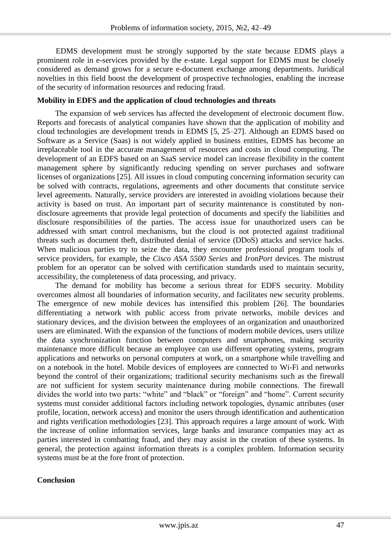EDMS development must be strongly supported by the state because EDMS plays a prominent role in e-services provided by the e-state. Legal support for EDMS must be closely considered as demand grows for a secure e-document exchange among departments. Juridical novelties in this field boost the development of prospective technologies, enabling the increase of the security of information resources and reducing fraud.

## **Mobility in EDFS and the application of cloud technologies and threats**

The expansion of web services has affected the development of electronic document flow. Reports and forecasts of analytical companies have shown that the application of mobility and cloud technologies are development trends in EDMS [5, 25–27]. Although an EDMS based on Software as a Service (Saas) is not widely applied in business entities, EDMS has become an irreplaceable tool in the accurate management of resources and costs in cloud computing. The development of an EDFS based on an SaaS service model can increase flexibility in the content management sphere by significantly reducing spending on server purchases and software licenses of organizations [25]. All issues in cloud computing concerning information security can be solved with contracts, regulations, agreements and other documents that constitute service level agreements. Naturally, service providers are interested in avoiding violations because their activity is based on trust. An important part of security maintenance is constituted by nondisclosure agreements that provide legal protection of documents and specify the liabilities and disclosure responsibilities of the parties. The access issue for unauthorized users can be addressed with smart control mechanisms, but the cloud is not protected against traditional threats such as document theft, distributed denial of service (DDoS) attacks and service hacks. When malicious parties try to seize the data, they encounter professional program tools of service providers, for example, the *Cisco ASA 5500 Series* and *IronPort* devices. The mistrust problem for an operator can be solved with certification standards used to maintain security, accessibility, the completeness of data processing, and privacy.

The demand for mobility has become a serious threat for EDFS security. Mobility overcomes almost all boundaries of information security, and facilitates new security problems. The emergence of new mobile devices has intensified this problem [26]. The boundaries differentiating a network with public access from private networks, mobile devices and stationary devices, and the division between the employees of an organization and unauthorized users are eliminated. With the expansion of the functions of modern mobile devices, users utilize the data synchronization function between computers and smartphones, making security maintenance more difficult because an employee can use different operating systems, program applications and networks on personal computers at work, on a smartphone while travelling and on a notebook in the hotel. Mobile devices of employees are connected to Wi-Fi and networks beyond the control of their organizations; traditional security mechanisms such as the firewall are not sufficient for system security maintenance during mobile connections. The firewall divides the world into two parts: "white" and "black" or "foreign" and "home". Current security systems must consider additional factors including network topologies, dynamic attributes (user profile, location, network access) and monitor the users through identification and authentication and rights verification methodologies [23]. This approach requires a large amount of work. With the increase of online information services, large banks and insurance companies may act as parties interested in combatting fraud, and they may assist in the creation of these systems. In general, the protection against information threats is a complex problem. Information security systems must be at the fore front of protection.

# **Conclusion**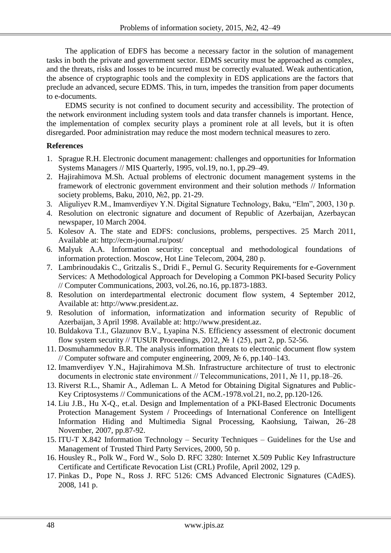The application of EDFS has become a necessary factor in the solution of management tasks in both the private and government sector. EDMS security must be approached as complex, and the threats, risks and losses to be incurred must be correctly evaluated. Weak authentication, the absence of cryptographic tools and the complexity in EDS applications are the factors that preclude an advanced, secure EDMS. This, in turn, impedes the transition from paper documents to e-documents.

EDMS security is not confined to document security and accessibility. The protection of the network environment including system tools and data transfer channels is important. Hence, the implementation of complex security plays a prominent role at all levels, but it is often disregarded. Poor administration may reduce the most modern technical measures to zero.

# **References**

- 1. Sprague R.H. Electronic document management: challenges and opportunities for Information Systems Managers // MIS Quarterly, 1995, vol.19, no.1, pp.29–49.
- 2. Hajirahimova M.Sh. Actual problems of electronic document management systems in the framework of electronic government environment and their solution methods // Information society problems, Baku, 2010, №2, pp. 21-29.
- 3. Aliguliyev R.M., Imamverdiyev Y.N. Digital Signature Technology, Baku, "Elm", 2003, 130 p.
- 4. Resolution on electronic signature and document of Republic of Azerbaijan, Azerbaycan newspaper, 10 March 2004.
- 5. Kolesov A. The state and EDFS: conclusions, problems, perspectives. 25 March 2011, Available at: http://ecm-journal.ru/post/
- 6. Malyuk A.A. Information security: conceptual and methodological foundations of information protection. Moscow, Hot Line Telecom, 2004, 280 p.
- 7. Lambrinoudakis C., Gritzalis S., Dridi F., Pernul G. Security Requirements for e-Government Services: A Methodological Approach for Developing a Common PKI-based Security Policy // Computer Communications, 2003, vol.26, no.16, pp.1873-1883.
- 8. Resolution on interdepartmental electronic document flow system, 4 September 2012, Available at: [http://www.president.az.](http://www.president.az/)
- 9. Resolution of information, informatization and information security of Republic of Azerbaijan, 3 April 1998. Available at: [http://www.president.az.](http://www.president.az/)
- 10. Buldakova T.I., Glazunov B.V., Lyapina N.S. Efficiency assessment of electronic document flow system security // TUSUR Proceedings, 2012,  $\mathbb{N}$  1 (25), part 2, pp. 52-56.
- 11. Dosmuhammedov B.R. The analysis information threats to electronic document flow system // Computer software and computer engineering, 2009, № 6, pp.140–143.
- 12. Imamverdiyev Y.N., Hajirahimova M.Sh. Infrastructure architecture of trust to electronic documents in electronic state environment // Telecommunications, 2011, № 11, pp.18–26.
- 13. Riverst R.L., Shamir A., Adleman L. A Metod for Obtaining Digital Signatures and Public-Key Criptosystems // Communications of the ACM.-1978.vol.21, no.2, pp.120-126.
- 14. Liu J.B., Hu X-Q., et.al. Design and Implementation of a PKI-Based Electronic Documents Protection Management System / Proceedings of International Conference on [Intelligent](http://www.computer.org/csdl/proceedings/iih-msp/2007/2994/02/index.html)  [Information Hiding and Multimedia Signal Processing, K](http://www.computer.org/csdl/proceedings/iih-msp/2007/2994/02/index.html)aohsiung, Taiwan, 26–28 November, 2007, pp.87-92.
- 15. ITU-T X.842 Information Technology Security Techniques Guidelines for the Use and Management of Trusted Third Party Services, 2000, 50 p.
- 16. Housley R., Polk W., Ford W., Solo D. RFC 3280: Internet X.509 Public Key Infrastructure Certificate and Certificate Revocation List (CRL) Profile, April 2002, 129 p.
- 17. Pinkas D., Pope N., Ross J. RFC 5126: CMS Advanced Electronic Signatures (CAdES). 2008, 141 p.